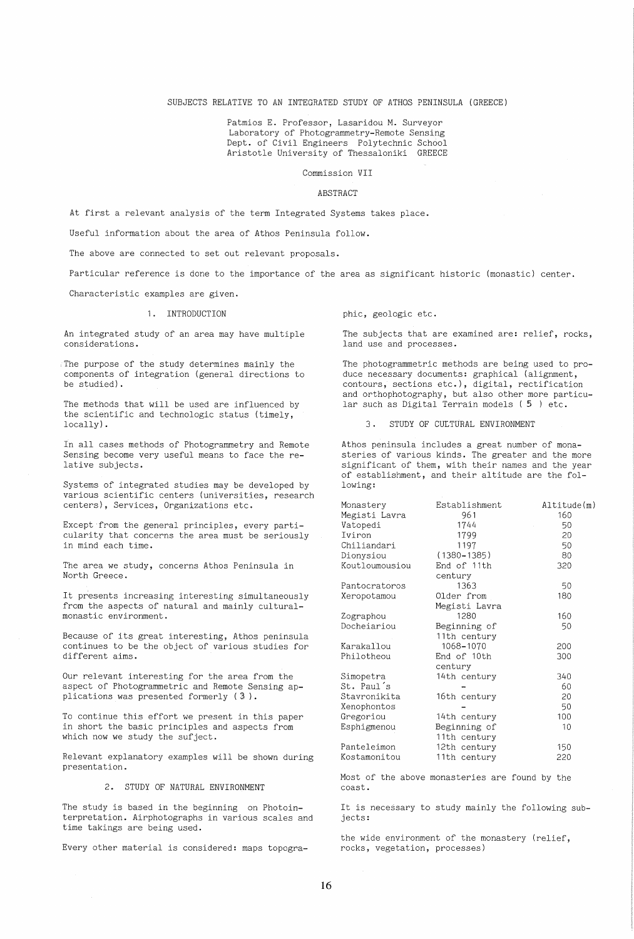## SUBJECTS RELATIVE TO AN INTEGRATED STUDY OF ATHOS PENINSULA (GREECE)

Patmios E. Professor, Lasaridou M. Surveyor Laboratory of Photogrammetry-Remote Sensing Dept. of Civil Engineers Polytechnic School Aristotle University of Thessaloniki GREECE

Commission VII

### ABSTRACT

At first a relevant analysis of the term Integrated Systems takes place.

Useful information about the area of Athos Peninsula follow.

The above are connected to set out relevant proposals.

Particular reference is done to the importance of the area as significant historic (monastic) center.

Characteristic examples are given.

## 1. INTRODUCTION

An integrated study of an area may have multiple considerations.

The purpose of the study determines mainly the components of integration (general directions to be studied).

The methods that will be used are influenced by the scientific and technologic status (timely, locally) .

In all cases methods of Photogrammetry and Remote Sensing become very useful means to face the relative subjects.

Systems of integrated studies may be developed by various scientific centers (universities, research centers), Services, Organizations etc.

Except from the general principles, every particularity that concerns the area must be seriously in mind each time.

The area we study, concerns Athos Peninsula in North Greece.

It presents increasing interesting simultaneously from the aspects of natural and mainly culturalmonastic environment.

Because of its great interesting, Athos peninsula continues to be the object of various studies for different aims.

Our relevant interesting for the area from the aspect of Photogrammetric and Remote Sensing applications was presented formerly  $(3)$ .

To continue this effort we present in this paper in short the basic principles and aspects from which now we study the sufject.

Relevant explanatory examples will be shown during presentation.

#### 2. STUDY OF NATURAL ENVIRONMENT

The study is based in the beginning on Photointerpretation. Airphotographs in various scales and time takings are being used.

Every other material is considered: maps topogra-

phic, geologic etc.

The subjects that are examined are: relief, rocks, land use and processes.

The photogrammetric methods are being used to produce necessary documents: graphical (alignment, contours, sections etc.), digital, rectification and orthophotography, but also other more particular such as Digital Terrain models (5 ) etc.

3 . STUDY OF CULTURAL ENVIRONMENT

Athos peninsula includes a great number of monasteries of various kinds. The greater and the more significant of them, with their names and the year of establishment, and their altitude are the following:

| Monastery      | Establishment   | Altitude(m) |
|----------------|-----------------|-------------|
| Megisti Lavra  | 961             | 160         |
| Vatopedi       | 1744            | 50          |
| Iviron         | 1799            | 20          |
| Chiliandari    | 1197            | 50          |
| Dionysiou      | $(1380 - 1385)$ | 80          |
| Koutloumousiou | End of 11th     | 320         |
|                | century         |             |
| Pantocratoros  | 1363            | 50          |
| Xeropotamou    | Older from      | 180         |
|                | Megisti Lavra   |             |
| Zographou      | 1280            | 160         |
| Docheiariou    | Beginning of    | 50          |
|                | 11th century    |             |
| Karakallou     | 1068-1070       | 200         |
| Philotheou     | End of 10th     | 300         |
|                | century         |             |
| Simopetra      | 14th century    | 340         |
| St. Paul's     |                 | 60          |
| Stavronikita   | 16th century    | 20          |
| Xenophontos    |                 | 50          |
| Gregoriou      | 14th century    | 100         |
| Esphigmenou    | Beginning of    | 10          |
|                | 11th century    |             |
| Panteleimon    | 12th century    | 150         |
| Kostamonitou   | 11th century    | 220         |

Most of the above monasteries are found by the coast.

It is necessary to study mainly the following subjects:

the wide environment of the monastery (relief, rocks, vegetation, processes)